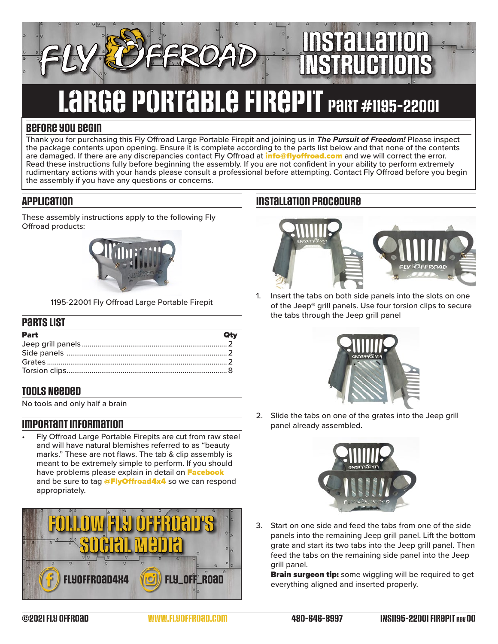# large portable firepit part #1195-22001

### **Before you begin**

Thank you for purchasing this Fly Offroad Large Portable Firepit and joining us in *The Pursuit of Freedom!* Please inspect the package contents upon opening. Ensure it is complete according to the parts list below and that none of the contents are damaged. If there are any discrepancies contact Fly Offroad at **[info@flyoffroad.com](mailto:info%40flyoffroad.com?subject=Question%20on%20Instructions)** and we will correct the error. Read these instructions fully before beginning the assembly. If you are not confident in your ability to perform extremely rudimentary actions with your hands please consult a professional before attempting. Contact Fly Offroad before you begin the assembly if you have any questions or concerns.

### **Application**

These assembly instructions apply to the following Fly Offroad products:



1195-22001 Fly Offroad Large Portable Firepit

#### **Parts List**

| Part | Qtv |
|------|-----|
|      |     |
|      |     |
|      |     |
|      |     |

### **Tools Needed**

No tools and only half a brain

### **Important information**

• Fly Offroad Large Portable Firepits are cut from raw steel and will have natural blemishes referred to as "beauty marks." These are not flaws. The tab & clip assembly is meant to be extremely simple to perform. If you should have problems please explain in detail on [Facebook](https://www.facebook.com/FlyOffRoad4x4/) and be sure to tag **[@FlyOffroad4x4](https://www.facebook.com/FlyOffRoad4x4/)** so we can respond appropriately.



### **Installation procedure**



Installation

INstructions

1. Insert the tabs on both side panels into the slots on one of the Jeep® grill panels. Use four torsion clips to secure the tabs through the Jeep grill panel



2. Slide the tabs on one of the grates into the Jeep grill panel already assembled.



3. Start on one side and feed the tabs from one of the side panels into the remaining Jeep grill panel. Lift the bottom grate and start its two tabs into the Jeep grill panel. Then feed the tabs on the remaining side panel into the Jeep grill panel.

**Brain surgeon tip:** some wiggling will be required to get everything aligned and inserted properly.